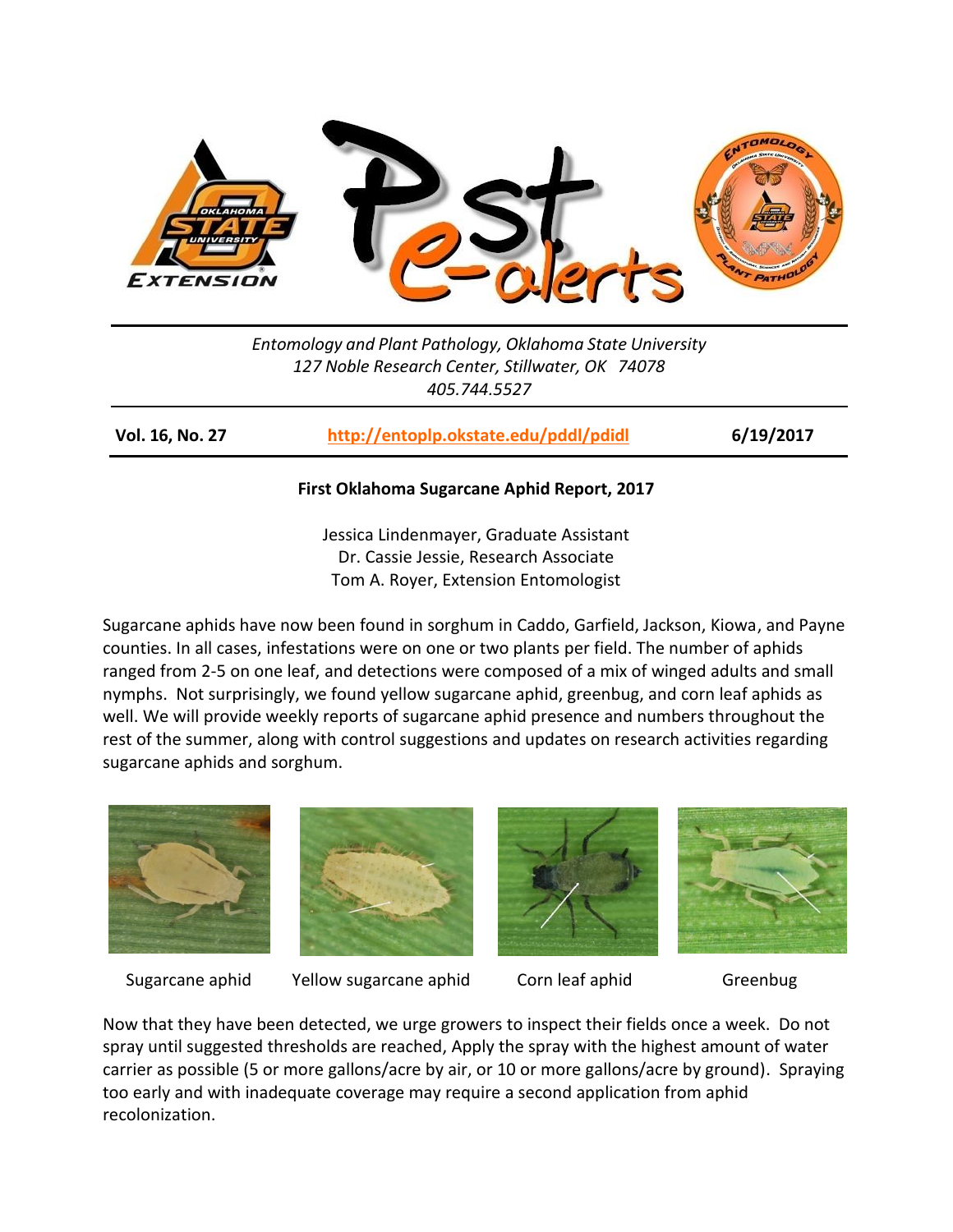

*Entomology and Plant Pathology, Oklahoma State University 127 Noble Research Center, Stillwater, OK 74078 405.744.5527*

**Vol. 16, No. 27 <http://entoplp.okstate.edu/pddl/pdidl> 6/19/2017**

## **First Oklahoma Sugarcane Aphid Report, 2017**

Jessica Lindenmayer, Graduate Assistant Dr. Cassie Jessie, Research Associate Tom A. Royer, Extension Entomologist

Sugarcane aphids have now been found in sorghum in Caddo, Garfield, Jackson, Kiowa, and Payne counties. In all cases, infestations were on one or two plants per field. The number of aphids ranged from 2-5 on one leaf, and detections were composed of a mix of winged adults and small nymphs. Not surprisingly, we found yellow sugarcane aphid, greenbug, and corn leaf aphids as well. We will provide weekly reports of sugarcane aphid presence and numbers throughout the rest of the summer, along with control suggestions and updates on research activities regarding sugarcane aphids and sorghum.





Sugarcane aphid Yellow sugarcane aphid Corn leaf aphid Greenbug





Now that they have been detected, we urge growers to inspect their fields once a week. Do not spray until suggested thresholds are reached, Apply the spray with the highest amount of water carrier as possible (5 or more gallons/acre by air, or 10 or more gallons/acre by ground). Spraying too early and with inadequate coverage may require a second application from aphid recolonization.